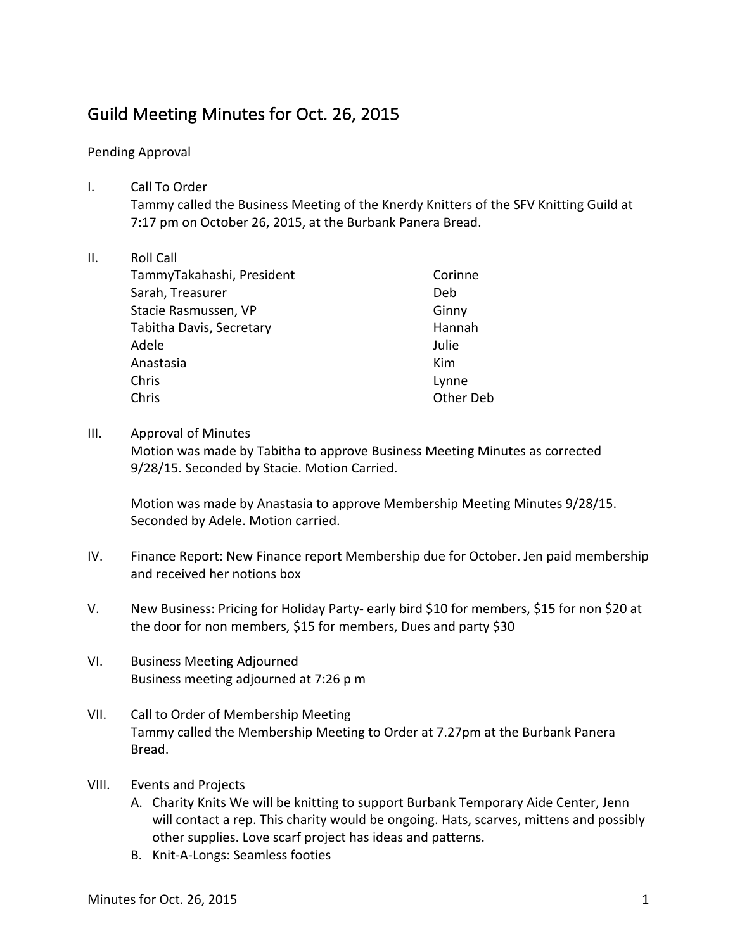# Guild Meeting Minutes for Oct. 26, 2015

## Pending Approval

I. Call To Order Tammy called the Business Meeting of the Knerdy Knitters of the SFV Knitting Guild at 7:17 pm on October 26, 2015, at the Burbank Panera Bread.

### II. Roll Call

| TammyTakahashi, President | Corinne   |
|---------------------------|-----------|
| Sarah, Treasurer          | Deb       |
| Stacie Rasmussen, VP      | Ginny     |
| Tabitha Davis, Secretary  | Hannah    |
| Adele                     | Julie     |
| Anastasia                 | Kim       |
| Chris                     | Lynne     |
| Chris                     | Other Deb |

### III. Approval of Minutes

Motion was made by Tabitha to approve Business Meeting Minutes as corrected 9/28/15. Seconded by Stacie. Motion Carried.

Motion was made by Anastasia to approve Membership Meeting Minutes 9/28/15. Seconded by Adele. Motion carried.

- IV. Finance Report: New Finance report Membership due for October. Jen paid membership and received her notions box
- V. New Business: Pricing for Holiday Party- early bird \$10 for members, \$15 for non \$20 at the door for non members, \$15 for members, Dues and party \$30
- VI. Business Meeting Adjourned Business meeting adjourned at 7:26 p m
- VII. Call to Order of Membership Meeting Tammy called the Membership Meeting to Order at 7.27pm at the Burbank Panera Bread.
- VIII. Events and Projects
	- A. Charity Knits We will be knitting to support Burbank Temporary Aide Center, Jenn will contact a rep. This charity would be ongoing. Hats, scarves, mittens and possibly other supplies. Love scarf project has ideas and patterns.
	- B. Knit-A-Longs: Seamless footies